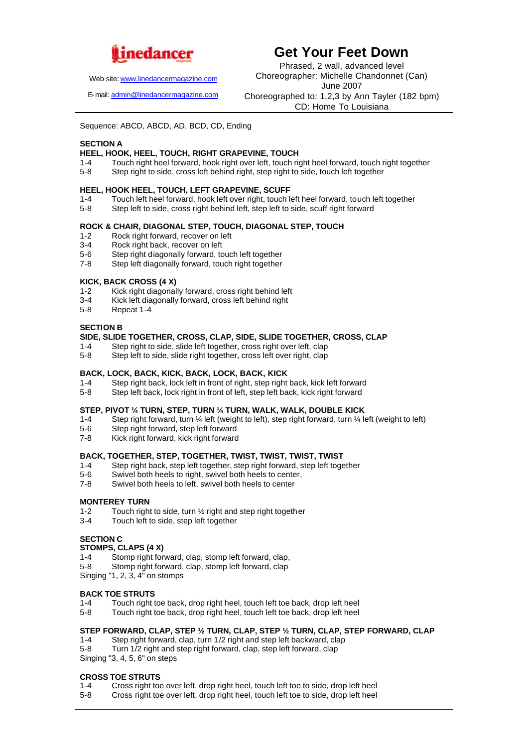

**Get Your Feet Down**

Web site: www.linedancermagazine.com

E-mail: admin@linedancermagazine.com

Phrased, 2 wall, advanced level Choreographer: Michelle Chandonnet (Can) June 2007 Choreographed to: 1,2,3 by Ann Tayler (182 bpm) CD: Home To Louisiana

Sequence: ABCD, ABCD, AD, BCD, CD, Ending

### **SECTION A**

# **HEEL, HOOK, HEEL, TOUCH, RIGHT GRAPEVINE, TOUCH**

- Touch right heel forward, hook right over left, touch right heel forward, touch right together
- 5-8 Step right to side, cross left behind right, step right to side, touch left together

#### **HEEL, HOOK HEEL, TOUCH, LEFT GRAPEVINE, SCUFF**

- 1-4 Touch left heel forward, hook left over right, touch left heel forward, touch left together<br>5-8 Step left to side, cross right behind left, step left to side, scuff right forward
- Step left to side, cross right behind left, step left to side, scuff right forward

#### **ROCK & CHAIR, DIAGONAL STEP, TOUCH, DIAGONAL STEP, TOUCH**

- 1-2 Rock right forward, recover on left
- 3-4 Rock right back, recover on left
- 5-6 Step right diagonally forward, touch left together
- 7-8 Step left diagonally forward, touch right together

#### **KICK, BACK CROSS (4 X)**

- 1-2 Kick right diagonally forward, cross right behind left
- 3-4 Kick left diagonally forward, cross left behind right<br>5-8 Repeat 1-4
- Repeat 1-4

## **SECTION B**

# **SIDE, SLIDE TOGETHER, CROSS, CLAP, SIDE, SLIDE TOGETHER, CROSS, CLAP**

- 1-4 Step right to side, slide left together, cross right over left, clap
- 5-8 Step left to side, slide right together, cross left over right, clap

#### **BACK, LOCK, BACK, KICK, BACK, LOCK, BACK, KICK**

- 1-4 Step right back, lock left in front of right, step right back, kick left forward
- 5-8 Step left back, lock right in front of left, step left back, kick right forward

#### **STEP, PIVOT ¼ TURN, STEP, TURN ¼ TURN, WALK, WALK, DOUBLE KICK**

- 1-4 Step right forward, turn ¼ left (weight to left), step right forward, turn ¼ left (weight to left)
- 5-6 Step right forward, step left forward
- 7-8 Kick right forward, kick right forward

## **BACK, TOGETHER, STEP, TOGETHER, TWIST, TWIST, TWIST, TWIST**

- 1-4 Step right back, step left together, step right forward, step left together
- 5-6 Swivel both heels to right, swivel both heels to center,<br>7-8 Swivel both heels to left swivel both heels to center
- Swivel both heels to left, swivel both heels to center

#### **MONTEREY TURN**

- 1-2 Touch right to side, turn ½ right and step right together
- 3-4 Touch left to side, step left together

#### **SECTION C**

#### **STOMPS, CLAPS (4 X)**

- 1-4 Stomp right forward, clap, stomp left forward, clap,
- 5-8 Stomp right forward, clap, stomp left forward, clap

Singing "1, 2, 3, 4" on stomps

#### **BACK TOE STRUTS**

- 1-4 Touch right toe back, drop right heel, touch left toe back, drop left heel
- 5-8 Touch right toe back, drop right heel, touch left toe back, drop left heel

#### **STEP FORWARD, CLAP, STEP ½ TURN, CLAP, STEP ½ TURN, CLAP, STEP FORWARD, CLAP**

- 1-4 Step right forward, clap, turn 1/2 right and step left backward, clap
- 5-8 Turn 1/2 right and step right forward, clap, step left forward, clap

Singing "3, 4, 5, 6" on steps

# **CROSS TOE STRUTS**<br>1-4 Cross right to

- Cross right toe over left, drop right heel, touch left toe to side, drop left heel
- 5-8 Cross right toe over left, drop right heel, touch left toe to side, drop left heel